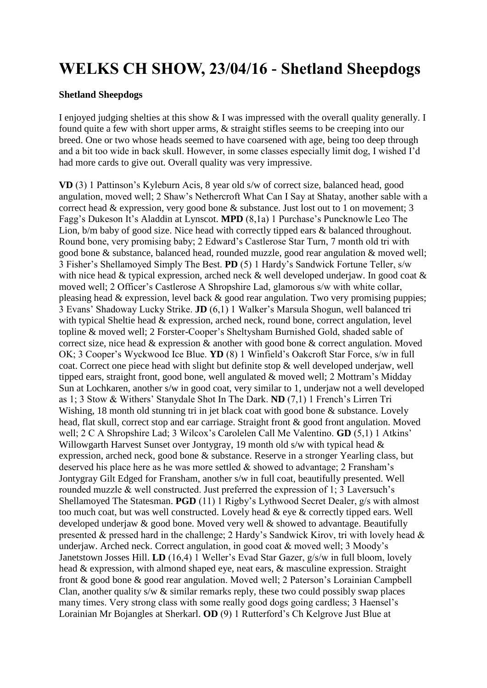## **WELKS CH SHOW, 23/04/16 - Shetland Sheepdogs**

## **Shetland Sheepdogs**

I enjoyed judging shelties at this show & I was impressed with the overall quality generally. I found quite a few with short upper arms, & straight stifles seems to be creeping into our breed. One or two whose heads seemed to have coarsened with age, being too deep through and a bit too wide in back skull. However, in some classes especially limit dog, I wished I'd had more cards to give out. Overall quality was very impressive.

**VD** (3) 1 Pattinson's Kyleburn Acis, 8 year old s/w of correct size, balanced head, good angulation, moved well; 2 Shaw's Nethercroft What Can I Say at Shatay, another sable with a correct head & expression, very good bone & substance. Just lost out to 1 on movement; 3 Fagg's Dukeson It's Aladdin at Lynscot. **MPD** (8,1a) 1 Purchase's Puncknowle Leo The Lion, b/m baby of good size. Nice head with correctly tipped ears & balanced throughout. Round bone, very promising baby; 2 Edward's Castlerose Star Turn, 7 month old tri with good bone & substance, balanced head, rounded muzzle, good rear angulation & moved well; 3 Fisher's Shellamoyed Simply The Best. **PD** (5) 1 Hardy's Sandwick Fortune Teller, s/w with nice head & typical expression, arched neck & well developed underjaw. In good coat & moved well; 2 Officer's Castlerose A Shropshire Lad, glamorous s/w with white collar, pleasing head & expression, level back & good rear angulation. Two very promising puppies; 3 Evans' Shadoway Lucky Strike. **JD** (6,1) 1 Walker's Marsula Shogun, well balanced tri with typical Sheltie head & expression, arched neck, round bone, correct angulation, level topline & moved well; 2 Forster-Cooper's Sheltysham Burnished Gold, shaded sable of correct size, nice head & expression & another with good bone & correct angulation. Moved OK; 3 Cooper's Wyckwood Ice Blue. **YD** (8) 1 Winfield's Oakcroft Star Force, s/w in full coat. Correct one piece head with slight but definite stop & well developed underjaw, well tipped ears, straight front, good bone, well angulated & moved well; 2 Mottram's Midday Sun at Lochkaren, another s/w in good coat, very similar to 1, underjaw not a well developed as 1; 3 Stow & Withers' Stanydale Shot In The Dark. **ND** (7,1) 1 French's Lirren Tri Wishing, 18 month old stunning tri in jet black coat with good bone & substance. Lovely head, flat skull, correct stop and ear carriage. Straight front & good front angulation. Moved well; 2 C A Shropshire Lad; 3 Wilcox's Carolelen Call Me Valentino. **GD** (5,1) 1 Atkins' Willowgarth Harvest Sunset over Jontygray, 19 month old s/w with typical head & expression, arched neck, good bone & substance. Reserve in a stronger Yearling class, but deserved his place here as he was more settled  $\&$  showed to advantage; 2 Fransham's Jontygray Gilt Edged for Fransham, another s/w in full coat, beautifully presented. Well rounded muzzle & well constructed. Just preferred the expression of 1; 3 Laversuch's Shellamoyed The Statesman. **PGD** (11) 1 Rigby's Lythwood Secret Dealer, g/s with almost too much coat, but was well constructed. Lovely head & eye & correctly tipped ears. Well developed underjaw & good bone. Moved very well & showed to advantage. Beautifully presented & pressed hard in the challenge; 2 Hardy's Sandwick Kirov, tri with lovely head & underjaw. Arched neck. Correct angulation, in good coat & moved well; 3 Moody's Janetstown Josses Hill. **LD** (16,4) 1 Weller's Evad Star Gazer, g/s/w in full bloom, lovely head & expression, with almond shaped eye, neat ears, & masculine expression. Straight front & good bone & good rear angulation. Moved well; 2 Paterson's Lorainian Campbell Clan, another quality s/w  $\&$  similar remarks reply, these two could possibly swap places many times. Very strong class with some really good dogs going cardless; 3 Haensel's Lorainian Mr Bojangles at Sherkarl. **OD** (9) 1 Rutterford's Ch Kelgrove Just Blue at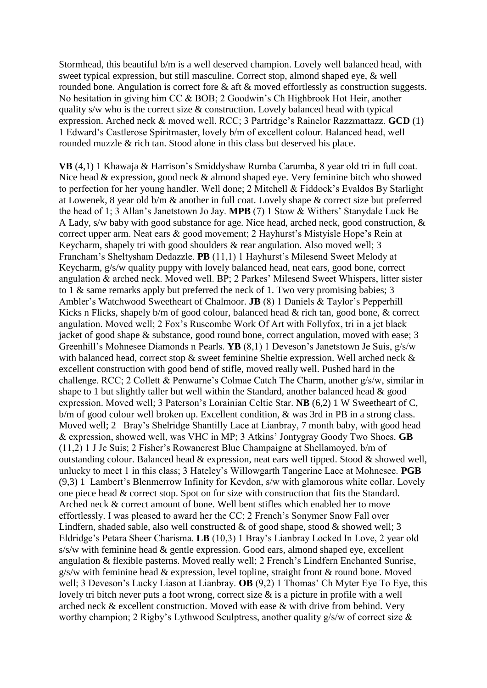Stormhead, this beautiful b/m is a well deserved champion. Lovely well balanced head, with sweet typical expression, but still masculine. Correct stop, almond shaped eye, & well rounded bone. Angulation is correct fore & aft & moved effortlessly as construction suggests. No hesitation in giving him CC & BOB; 2 Goodwin's Ch Highbrook Hot Heir, another quality s/w who is the correct size & construction. Lovely balanced head with typical expression. Arched neck & moved well. RCC; 3 Partridge's Rainelor Razzmattazz. **GCD** (1) 1 Edward's Castlerose Spiritmaster, lovely b/m of excellent colour. Balanced head, well rounded muzzle & rich tan. Stood alone in this class but deserved his place.

**VB** (4,1) 1 Khawaja & Harrison's Smiddyshaw Rumba Carumba, 8 year old tri in full coat. Nice head & expression, good neck & almond shaped eye. Very feminine bitch who showed to perfection for her young handler. Well done; 2 Mitchell & Fiddock's Evaldos By Starlight at Lowenek, 8 year old b/m & another in full coat. Lovely shape & correct size but preferred the head of 1; 3 Allan's Janetstown Jo Jay. **MPB** (7) 1 Stow & Withers' Stanydale Luck Be A Lady, s/w baby with good substance for age. Nice head, arched neck, good construction, & correct upper arm. Neat ears & good movement; 2 Hayhurst's Mistyisle Hope's Rein at Keycharm, shapely tri with good shoulders & rear angulation. Also moved well; 3 Francham's Sheltysham Dedazzle. **PB** (11,1) 1 Hayhurst's Milesend Sweet Melody at Keycharm, g/s/w quality puppy with lovely balanced head, neat ears, good bone, correct angulation & arched neck. Moved well. BP; 2 Parkes' Milesend Sweet Whispers, litter sister to 1 & same remarks apply but preferred the neck of 1. Two very promising babies; 3 Ambler's Watchwood Sweetheart of Chalmoor. **JB** (8) 1 Daniels & Taylor's Pepperhill Kicks n Flicks, shapely b/m of good colour, balanced head & rich tan, good bone, & correct angulation. Moved well; 2 Fox's Ruscombe Work Of Art with Follyfox, tri in a jet black jacket of good shape & substance, good round bone, correct angulation, moved with ease; 3 Greenhill's Mohnesee Diamonds n Pearls. **YB** (8,1) 1 Deveson's Janetstown Je Suis, g/s/w with balanced head, correct stop & sweet feminine Sheltie expression. Well arched neck & excellent construction with good bend of stifle, moved really well. Pushed hard in the challenge. RCC; 2 Collett & Penwarne's Colmae Catch The Charm, another g/s/w, similar in shape to 1 but slightly taller but well within the Standard, another balanced head & good expression. Moved well; 3 Paterson's Lorainian Celtic Star. **NB** (6,2) 1 W Sweetheart of C, b/m of good colour well broken up. Excellent condition, & was 3rd in PB in a strong class. Moved well; 2 Bray's Shelridge Shantilly Lace at Lianbray, 7 month baby, with good head & expression, showed well, was VHC in MP; 3 Atkins' Jontygray Goody Two Shoes. **GB** (11,2) 1 J Je Suis; 2 Fisher's Rowancrest Blue Champaigne at Shellamoyed, b/m of outstanding colour. Balanced head & expression, neat ears well tipped. Stood & showed well, unlucky to meet 1 in this class; 3 Hateley's Willowgarth Tangerine Lace at Mohnesee. **PGB** (9,3) 1 Lambert's Blenmerrow Infinity for Kevdon, s/w with glamorous white collar. Lovely one piece head & correct stop. Spot on for size with construction that fits the Standard. Arched neck & correct amount of bone. Well bent stifles which enabled her to move effortlessly. I was pleased to award her the CC; 2 French's Sonymer Snow Fall over Lindfern, shaded sable, also well constructed  $\&$  of good shape, stood  $\&$  showed well; 3 Eldridge's Petara Sheer Charisma. **LB** (10,3) 1 Bray's Lianbray Locked In Love, 2 year old s/s/w with feminine head & gentle expression. Good ears, almond shaped eye, excellent angulation & flexible pasterns. Moved really well; 2 French's Lindfern Enchanted Sunrise,  $g/s/w$  with feminine head & expression, level topline, straight front & round bone. Moved well; 3 Deveson's Lucky Liason at Lianbray. **OB** (9,2) 1 Thomas' Ch Myter Eye To Eye, this lovely tri bitch never puts a foot wrong, correct size & is a picture in profile with a well arched neck & excellent construction. Moved with ease & with drive from behind. Very worthy champion; 2 Rigby's Lythwood Sculptress, another quality g/s/w of correct size &